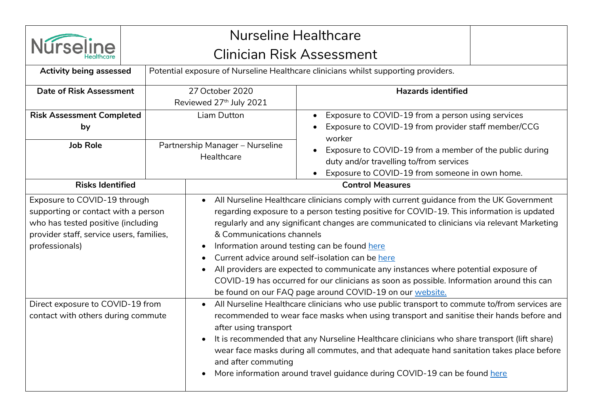

## Nurseline Healthcare Clinician Risk Assessment

| <b>Activity being assessed</b>                                                                                                                                          |  | Potential exposure of Nurseline Healthcare clinicians whilst supporting providers.                                                                                                                                                                                                                                                                                                                                                                                                                                                                                                                                                                                                |                                                                                                          |  |  |  |
|-------------------------------------------------------------------------------------------------------------------------------------------------------------------------|--|-----------------------------------------------------------------------------------------------------------------------------------------------------------------------------------------------------------------------------------------------------------------------------------------------------------------------------------------------------------------------------------------------------------------------------------------------------------------------------------------------------------------------------------------------------------------------------------------------------------------------------------------------------------------------------------|----------------------------------------------------------------------------------------------------------|--|--|--|
| <b>Date of Risk Assessment</b>                                                                                                                                          |  | 27 October 2020                                                                                                                                                                                                                                                                                                                                                                                                                                                                                                                                                                                                                                                                   | <b>Hazards identified</b>                                                                                |  |  |  |
|                                                                                                                                                                         |  | Reviewed 27th July 2021                                                                                                                                                                                                                                                                                                                                                                                                                                                                                                                                                                                                                                                           |                                                                                                          |  |  |  |
| <b>Risk Assessment Completed</b>                                                                                                                                        |  | Liam Dutton                                                                                                                                                                                                                                                                                                                                                                                                                                                                                                                                                                                                                                                                       | Exposure to COVID-19 from a person using services<br>Exposure to COVID-19 from provider staff member/CCG |  |  |  |
| by                                                                                                                                                                      |  |                                                                                                                                                                                                                                                                                                                                                                                                                                                                                                                                                                                                                                                                                   |                                                                                                          |  |  |  |
| <b>Job Role</b>                                                                                                                                                         |  | Partnership Manager - Nurseline                                                                                                                                                                                                                                                                                                                                                                                                                                                                                                                                                                                                                                                   | worker                                                                                                   |  |  |  |
|                                                                                                                                                                         |  | Healthcare                                                                                                                                                                                                                                                                                                                                                                                                                                                                                                                                                                                                                                                                        | Exposure to COVID-19 from a member of the public during<br>duty and/or travelling to/from services       |  |  |  |
|                                                                                                                                                                         |  |                                                                                                                                                                                                                                                                                                                                                                                                                                                                                                                                                                                                                                                                                   | Exposure to COVID-19 from someone in own home.                                                           |  |  |  |
| <b>Risks Identified</b>                                                                                                                                                 |  |                                                                                                                                                                                                                                                                                                                                                                                                                                                                                                                                                                                                                                                                                   | <b>Control Measures</b>                                                                                  |  |  |  |
| Exposure to COVID-19 through<br>supporting or contact with a person<br>who has tested positive (including<br>provider staff, service users, families,<br>professionals) |  | All Nurseline Healthcare clinicians comply with current guidance from the UK Government<br>regarding exposure to a person testing positive for COVID-19. This information is updated<br>regularly and any significant changes are communicated to clinicians via relevant Marketing<br>& Communications channels<br>Information around testing can be found here<br>$\bullet$<br>Current advice around self-isolation can be here<br>All providers are expected to communicate any instances where potential exposure of<br>COVID-19 has occurred for our clinicians as soon as possible. Information around this can<br>be found on our FAQ page around COVID-19 on our website. |                                                                                                          |  |  |  |
| Direct exposure to COVID-19 from<br>contact with others during commute                                                                                                  |  | All Nurseline Healthcare clinicians who use public transport to commute to/from services are<br>recommended to wear face masks when using transport and sanitise their hands before and<br>after using transport<br>It is recommended that any Nurseline Healthcare clinicians who share transport (lift share)<br>$\bullet$<br>wear face masks during all commutes, and that adequate hand sanitation takes place before<br>and after commuting<br>More information around travel guidance during COVID-19 can be found here                                                                                                                                                     |                                                                                                          |  |  |  |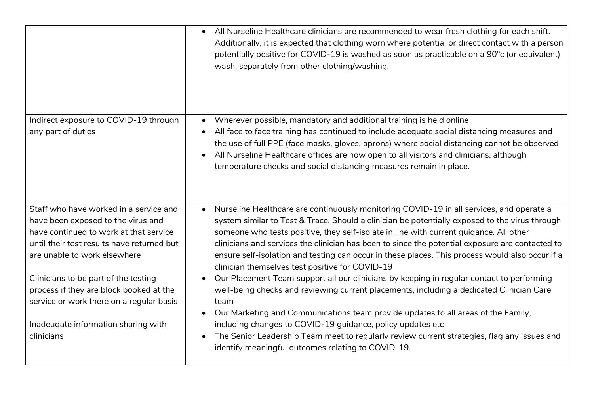|                                                                                                                                                                                                      | All Nurseline Healthcare clinicians are recommended to wear fresh clothing for each shift.<br>Additionally, it is expected that clothing worn where potential or direct contact with a person<br>potentially positive for COVID-19 is washed as soon as practicable on a 90°c (or equivalent)<br>wash, separately from other clothing/washing.                                                                                                                                                                                                |
|------------------------------------------------------------------------------------------------------------------------------------------------------------------------------------------------------|-----------------------------------------------------------------------------------------------------------------------------------------------------------------------------------------------------------------------------------------------------------------------------------------------------------------------------------------------------------------------------------------------------------------------------------------------------------------------------------------------------------------------------------------------|
| Indirect exposure to COVID-19 through<br>any part of duties                                                                                                                                          | Wherever possible, mandatory and additional training is held online<br>$\bullet$<br>All face to face training has continued to include adequate social distancing measures and<br>the use of full PPE (face masks, gloves, aprons) where social distancing cannot be observed<br>All Nurseline Healthcare offices are now open to all visitors and clinicians, although<br>temperature checks and social distancing measures remain in place.                                                                                                 |
| Staff who have worked in a service and<br>have been exposed to the virus and<br>have continued to work at that service<br>until their test results have returned but<br>are unable to work elsewhere | Nurseline Healthcare are continuously monitoring COVID-19 in all services, and operate a<br>system similar to Test & Trace. Should a clinician be potentially exposed to the virus through<br>someone who tests positive, they self-isolate in line with current guidance. All other<br>clinicians and services the clinician has been to since the potential exposure are contacted to<br>ensure self-isolation and testing can occur in these places. This process would also occur if a<br>clinician themselves test positive for COVID-19 |
| Clinicians to be part of the testing<br>process if they are block booked at the<br>service or work there on a regular basis<br>Inadeuqate information sharing with<br>clinicians                     | Our Placement Team support all our clinicians by keeping in regular contact to performing<br>well-being checks and reviewing current placements, including a dedicated Clinician Care<br>team<br>Our Marketing and Communications team provide updates to all areas of the Family,<br>$\bullet$<br>including changes to COVID-19 guidance, policy updates etc<br>The Senior Leadership Team meet to regularly review current strategies, flag any issues and<br>$\bullet$<br>identify meaningful outcomes relating to COVID-19.               |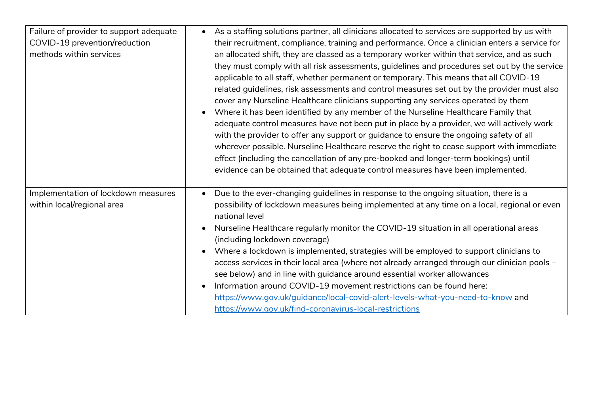| Failure of provider to support adequate<br>COVID-19 prevention/reduction<br>methods within services | As a staffing solutions partner, all clinicians allocated to services are supported by us with<br>$\bullet$<br>their recruitment, compliance, training and performance. Once a clinician enters a service for<br>an allocated shift, they are classed as a temporary worker within that service, and as such<br>they must comply with all risk assessments, guidelines and procedures set out by the service<br>applicable to all staff, whether permanent or temporary. This means that all COVID-19<br>related guidelines, risk assessments and control measures set out by the provider must also<br>cover any Nurseline Healthcare clinicians supporting any services operated by them<br>Where it has been identified by any member of the Nurseline Healthcare Family that<br>$\bullet$<br>adequate control measures have not been put in place by a provider, we will actively work |
|-----------------------------------------------------------------------------------------------------|--------------------------------------------------------------------------------------------------------------------------------------------------------------------------------------------------------------------------------------------------------------------------------------------------------------------------------------------------------------------------------------------------------------------------------------------------------------------------------------------------------------------------------------------------------------------------------------------------------------------------------------------------------------------------------------------------------------------------------------------------------------------------------------------------------------------------------------------------------------------------------------------|
|                                                                                                     | with the provider to offer any support or guidance to ensure the ongoing safety of all<br>wherever possible. Nurseline Healthcare reserve the right to cease support with immediate<br>effect (including the cancellation of any pre-booked and longer-term bookings) until<br>evidence can be obtained that adequate control measures have been implemented.                                                                                                                                                                                                                                                                                                                                                                                                                                                                                                                              |
| Implementation of lockdown measures<br>within local/regional area                                   | Due to the ever-changing guidelines in response to the ongoing situation, there is a<br>$\bullet$<br>possibility of lockdown measures being implemented at any time on a local, regional or even<br>national level<br>Nurseline Healthcare regularly monitor the COVID-19 situation in all operational areas<br>$\bullet$<br>(including lockdown coverage)<br>Where a lockdown is implemented, strategies will be employed to support clinicians to<br>$\bullet$<br>access services in their local area (where not already arranged through our clinician pools -<br>see below) and in line with guidance around essential worker allowances<br>Information around COVID-19 movement restrictions can be found here:<br>$\bullet$<br>https://www.gov.uk/guidance/local-covid-alert-levels-what-you-need-to-know and<br>https://www.gov.uk/find-coronavirus-local-restrictions              |